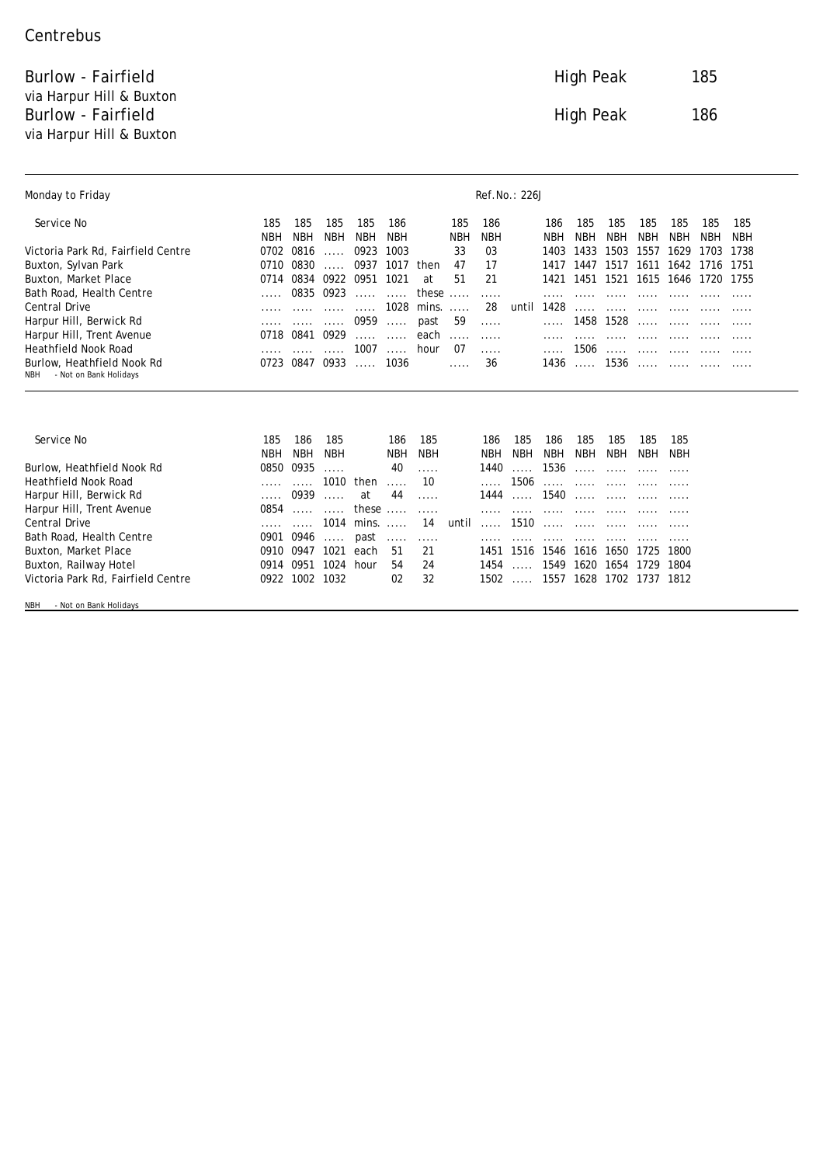## **Centrebus**

**Burlow - Fairfield 185** via Harpur Hill & Buxton **Burlow - Fairfield 186** and 186 via Harpur Hill & Buxton

| <b>Monday to Friday</b>            | <b>Ref.No.: 226J</b> |                   |                   |            |                   |                   |                          |                   |                   |                   |                   |                     |                   |                   |            |            |
|------------------------------------|----------------------|-------------------|-------------------|------------|-------------------|-------------------|--------------------------|-------------------|-------------------|-------------------|-------------------|---------------------|-------------------|-------------------|------------|------------|
| Service No                         | 185                  | 185               | 185               | 185        | 186               |                   | 185                      | 186               |                   | 186               | 185               | 185                 | 185               | 185               | 185        | 185        |
|                                    | NBH                  | <b>NBH</b>        | <b>NBH</b>        | <b>NBH</b> | <b>NBH</b>        |                   | <b>NBH</b>               | <b>NBH</b>        |                   | <b>NBH</b>        | <b>NBH</b>        | <b>NBH</b>          | <b>NBH</b>        | <b>NBH</b>        | <b>NBH</b> | <b>NBH</b> |
| Victoria Park Rd, Fairfield Centre | 0702                 | 0816              |                   | 0923       | 1003              |                   | 33                       | 03                |                   | 1403              | 1433              | 1503                | 1557              | 1629              | 1703       | 1738       |
| <b>Buxton, Sylvan Park</b>         | 0710                 | 0830              |                   | 0937       | 1017              | then              | 47                       | 17                |                   | 1417              | 1447              | 1517                | 1611              | 1642              | 1716       | 1751       |
| <b>Buxton, Market Place</b>        | 0714                 | 0834              | 0922              | 0951       | 1021              | at                | 51                       | 21                |                   | 1421              |                   | 1451 1521 1615 1646 |                   |                   | 1720 1755  |            |
| <b>Bath Road, Health Centre</b>    |                      | 0835              | 0923              |            | $\ddotsc$         | these             | $\overline{\phantom{a}}$ | $\cdots$          |                   |                   |                   |                     |                   |                   |            |            |
| <b>Central Drive</b>               |                      |                   |                   |            | 1028              | mins.             |                          | 28                | until             | 1428              |                   |                     |                   |                   |            |            |
| <b>Harpur Hill, Berwick Rd</b>     |                      |                   |                   | 0959       |                   | past              | 59                       |                   |                   |                   | 1458              | 1528                |                   |                   |            |            |
| <b>Harpur Hill, Trent Avenue</b>   | 0718                 | 0841              | 0929              |            |                   | each              |                          | $\cdots$          |                   |                   |                   |                     |                   |                   |            |            |
| <b>Heathfield Nook Road</b>        |                      |                   |                   | 1007       |                   | hour              | 07                       |                   |                   |                   | 1506              |                     |                   |                   |            |            |
| <b>Burlow, Heathfield Nook Rd</b>  | 0723                 | 0847              | 0933              |            | 1036              |                   |                          | 36                |                   | 1436              | $\cdots$          | 1536                | $\cdots$          |                   |            |            |
| - Not on Bank Holidays<br>NBH      |                      |                   |                   |            |                   |                   |                          |                   |                   |                   |                   |                     |                   |                   |            |            |
| <b>Service No</b>                  | 185<br><b>NBH</b>    | 186<br><b>NBH</b> | 185<br><b>NBH</b> |            | 186<br><b>NBH</b> | 185<br><b>NBH</b> |                          | 186<br><b>NBH</b> | 185<br><b>NBH</b> | 186<br><b>NBH</b> | 185<br><b>NBH</b> | 185<br><b>NBH</b>   | 185<br><b>NBH</b> | 185<br><b>NBH</b> |            |            |
| <b>Burlow, Heathfield Nook Rd</b>  | 0850                 | 0935              |                   |            | 40                |                   |                          | 1440              | $\cdots$          | 1536              |                   | $\ddotsc$           |                   |                   |            |            |
| <b>Heathfield Nook Road</b>        |                      |                   | 1010              | then       |                   | 10                |                          |                   | 1506              |                   |                   |                     |                   |                   |            |            |
| <b>Harpur Hill, Berwick Rd</b>     |                      | 0939              | $\ddotsc$         | at         | 44                |                   |                          | 1444              |                   | 1540              |                   |                     |                   |                   |            |            |
|                                    |                      |                   |                   |            |                   |                   |                          |                   |                   |                   |                   |                     |                   |                   |            |            |
| <b>Harpur Hill, Trent Avenue</b>   | 0854                 |                   |                   | these      | $\cdots$          |                   |                          |                   |                   |                   |                   |                     |                   |                   |            |            |
| <b>Central Drive</b>               |                      |                   | 1014              | mins.      | $\ddotsc$         | 14                | until                    |                   | 1510              |                   |                   |                     |                   |                   |            |            |
| <b>Bath Road, Health Centre</b>    | 0901                 | 0946              |                   | past       |                   |                   |                          |                   |                   |                   |                   |                     |                   |                   |            |            |
| <b>Buxton, Market Place</b>        | 0910                 | 0947              | 1021              | each       | 51                | 21                |                          | 1451              | 1516              | 1546              | 1616              | 1650                | 1725              | 1800              |            |            |
| <b>Buxton, Railway Hotel</b>       | 0914                 | 0951              | 1024              | hour       | 54                | 24                |                          | 1454              |                   | 1549              | 1620              | 1654                | 1729              | 1804              |            |            |

NBH - Not on Bank Holidays